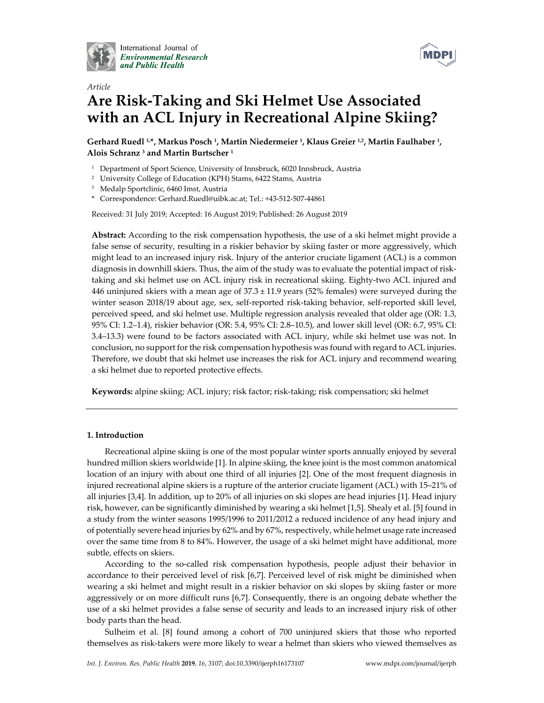

International Journal of **Environmental Research** and Public Health



# *Article*  **Are Risk-Taking and Ski Helmet Use Associated with an ACL Injury in Recreational Alpine Skiing?**

Gerhard Ruedl <sup>1,\*</sup>, Markus Posch <sup>1</sup>, Martin Niedermeier <sup>1</sup>, Klaus Greier <sup>1,2</sup>, Martin Faulhaber <sup>1</sup>, **Alois Schranz 3 and Martin Burtscher 1**

- <sup>1</sup> Department of Sport Science, University of Innsbruck, 6020 Innsbruck, Austria
- 2 University College of Education (KPH) Stams, 6422 Stams, Austria
- 3 Medalp Sportclinic, 6460 Imst, Austria

\* Correspondence: Gerhard.Ruedl@uibk.ac.at; Tel.: +43-512-507-44861

Received: 31 July 2019; Accepted: 16 August 2019; Published: 26 August 2019

**Abstract:** According to the risk compensation hypothesis, the use of a ski helmet might provide a false sense of security, resulting in a riskier behavior by skiing faster or more aggressively, which might lead to an increased injury risk. Injury of the anterior cruciate ligament (ACL) is a common diagnosis in downhill skiers. Thus, the aim of the study was to evaluate the potential impact of risktaking and ski helmet use on ACL injury risk in recreational skiing. Eighty-two ACL injured and 446 uninjured skiers with a mean age of  $37.3 \pm 11.9$  years (52% females) were surveyed during the winter season 2018/19 about age, sex, self-reported risk-taking behavior, self-reported skill level, perceived speed, and ski helmet use. Multiple regression analysis revealed that older age (OR: 1.3, 95% CI: 1.2–1.4), riskier behavior (OR: 5.4, 95% CI: 2.8–10.5), and lower skill level (OR: 6.7, 95% CI: 3.4–13.3) were found to be factors associated with ACL injury, while ski helmet use was not. In conclusion, no support for the risk compensation hypothesis was found with regard to ACL injuries. Therefore, we doubt that ski helmet use increases the risk for ACL injury and recommend wearing a ski helmet due to reported protective effects.

**Keywords:** alpine skiing; ACL injury; risk factor; risk-taking; risk compensation; ski helmet

# **1. Introduction**

Recreational alpine skiing is one of the most popular winter sports annually enjoyed by several hundred million skiers worldwide [1]. In alpine skiing, the knee joint is the most common anatomical location of an injury with about one third of all injuries [2]. One of the most frequent diagnosis in injured recreational alpine skiers is a rupture of the anterior cruciate ligament (ACL) with 15–21% of all injuries [3,4]. In addition, up to 20% of all injuries on ski slopes are head injuries [1]. Head injury risk, however, can be significantly diminished by wearing a ski helmet [1,5]. Shealy et al. [5] found in a study from the winter seasons 1995/1996 to 2011/2012 a reduced incidence of any head injury and of potentially severe head injuries by 62% and by 67%, respectively, while helmet usage rate increased over the same time from 8 to 84%. However, the usage of a ski helmet might have additional, more subtle, effects on skiers.

According to the so-called risk compensation hypothesis, people adjust their behavior in accordance to their perceived level of risk [6,7]. Perceived level of risk might be diminished when wearing a ski helmet and might result in a riskier behavior on ski slopes by skiing faster or more aggressively or on more difficult runs [6,7]. Consequently, there is an ongoing debate whether the use of a ski helmet provides a false sense of security and leads to an increased injury risk of other body parts than the head.

Sulheim et al. [8] found among a cohort of 700 uninjured skiers that those who reported themselves as risk-takers were more likely to wear a helmet than skiers who viewed themselves as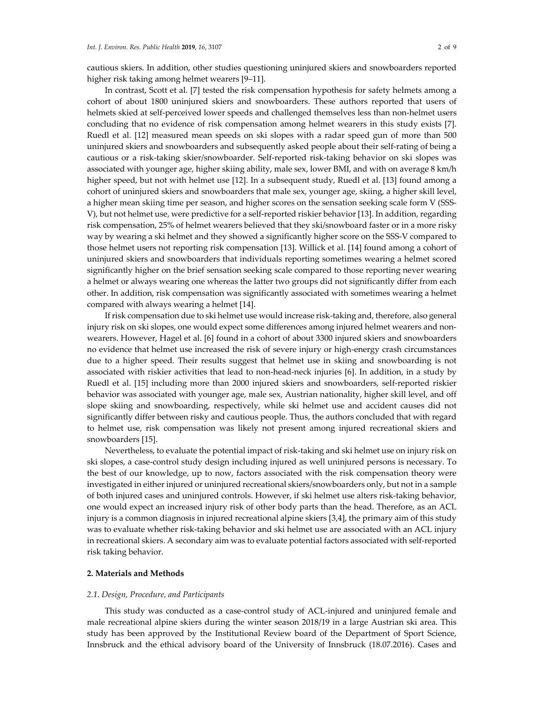cautious skiers. In addition, other studies questioning uninjured skiers and snowboarders reported higher risk taking among helmet wearers [9–11].

In contrast, Scott et al. [7] tested the risk compensation hypothesis for safety helmets among a cohort of about 1800 uninjured skiers and snowboarders. These authors reported that users of helmets skied at self-perceived lower speeds and challenged themselves less than non-helmet users concluding that no evidence of risk compensation among helmet wearers in this study exists [7]. Ruedl et al. [12] measured mean speeds on ski slopes with a radar speed gun of more than 500 uninjured skiers and snowboarders and subsequently asked people about their self-rating of being a cautious or a risk-taking skier/snowboarder. Self-reported risk-taking behavior on ski slopes was associated with younger age, higher skiing ability, male sex, lower BMI, and with on average 8 km/h higher speed, but not with helmet use [12]. In a subsequent study, Ruedl et al. [13] found among a cohort of uninjured skiers and snowboarders that male sex, younger age, skiing, a higher skill level, a higher mean skiing time per season, and higher scores on the sensation seeking scale form V (SSS-V), but not helmet use, were predictive for a self-reported riskier behavior [13]. In addition, regarding risk compensation, 25% of helmet wearers believed that they ski/snowboard faster or in a more risky way by wearing a ski helmet and they showed a significantly higher score on the SSS-V compared to those helmet users not reporting risk compensation [13]. Willick et al. [14] found among a cohort of uninjured skiers and snowboarders that individuals reporting sometimes wearing a helmet scored significantly higher on the brief sensation seeking scale compared to those reporting never wearing a helmet or always wearing one whereas the latter two groups did not significantly differ from each other. In addition, risk compensation was significantly associated with sometimes wearing a helmet compared with always wearing a helmet [14].

If risk compensation due to ski helmet use would increase risk-taking and, therefore, also general injury risk on ski slopes, one would expect some differences among injured helmet wearers and nonwearers. However, Hagel et al. [6] found in a cohort of about 3300 injured skiers and snowboarders no evidence that helmet use increased the risk of severe injury or high-energy crash circumstances due to a higher speed. Their results suggest that helmet use in skiing and snowboarding is not associated with riskier activities that lead to non-head-neck injuries [6]. In addition, in a study by Ruedl et al. [15] including more than 2000 injured skiers and snowboarders, self-reported riskier behavior was associated with younger age, male sex, Austrian nationality, higher skill level, and off slope skiing and snowboarding, respectively, while ski helmet use and accident causes did not significantly differ between risky and cautious people. Thus, the authors concluded that with regard to helmet use, risk compensation was likely not present among injured recreational skiers and snowboarders [15].

Nevertheless, to evaluate the potential impact of risk-taking and ski helmet use on injury risk on ski slopes, a case-control study design including injured as well uninjured persons is necessary. To the best of our knowledge, up to now, factors associated with the risk compensation theory were investigated in either injured or uninjured recreational skiers/snowboarders only, but not in a sample of both injured cases and uninjured controls. However, if ski helmet use alters risk-taking behavior, one would expect an increased injury risk of other body parts than the head. Therefore, as an ACL injury is a common diagnosis in injured recreational alpine skiers [3,4], the primary aim of this study was to evaluate whether risk-taking behavior and ski helmet use are associated with an ACL injury in recreational skiers. A secondary aim was to evaluate potential factors associated with self-reported risk taking behavior.

### **2. Materials and Methods**

### *2.1. Design, Procedure, and Participants*

This study was conducted as a case-control study of ACL-injured and uninjured female and male recreational alpine skiers during the winter season 2018/19 in a large Austrian ski area. This study has been approved by the Institutional Review board of the Department of Sport Science, Innsbruck and the ethical advisory board of the University of Innsbruck (18.07.2016). Cases and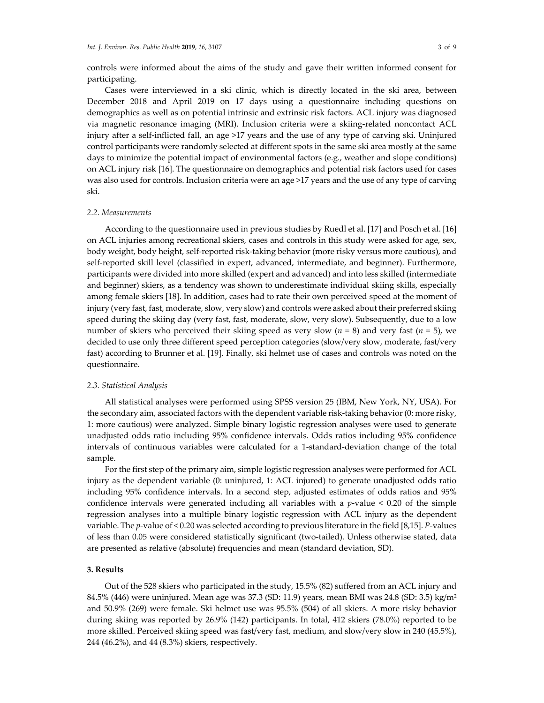controls were informed about the aims of the study and gave their written informed consent for participating.

Cases were interviewed in a ski clinic, which is directly located in the ski area, between December 2018 and April 2019 on 17 days using a questionnaire including questions on demographics as well as on potential intrinsic and extrinsic risk factors. ACL injury was diagnosed via magnetic resonance imaging (MRI). Inclusion criteria were a skiing-related noncontact ACL injury after a self-inflicted fall, an age >17 years and the use of any type of carving ski. Uninjured control participants were randomly selected at different spots in the same ski area mostly at the same days to minimize the potential impact of environmental factors (e.g., weather and slope conditions) on ACL injury risk [16]. The questionnaire on demographics and potential risk factors used for cases was also used for controls. Inclusion criteria were an age >17 years and the use of any type of carving ski.

#### *2.2. Measurements*

According to the questionnaire used in previous studies by Ruedl et al. [17] and Posch et al. [16] on ACL injuries among recreational skiers, cases and controls in this study were asked for age, sex, body weight, body height, self-reported risk-taking behavior (more risky versus more cautious), and self-reported skill level (classified in expert, advanced, intermediate, and beginner). Furthermore, participants were divided into more skilled (expert and advanced) and into less skilled (intermediate and beginner) skiers, as a tendency was shown to underestimate individual skiing skills, especially among female skiers [18]. In addition, cases had to rate their own perceived speed at the moment of injury (very fast, fast, moderate, slow, very slow) and controls were asked about their preferred skiing speed during the skiing day (very fast, fast, moderate, slow, very slow). Subsequently, due to a low number of skiers who perceived their skiing speed as very slow  $(n = 8)$  and very fast  $(n = 5)$ , we decided to use only three different speed perception categories (slow/very slow, moderate, fast/very fast) according to Brunner et al. [19]. Finally, ski helmet use of cases and controls was noted on the questionnaire.

### *2.3. Statistical Analysis*

All statistical analyses were performed using SPSS version 25 (IBM, New York, NY, USA). For the secondary aim, associated factors with the dependent variable risk-taking behavior (0: more risky, 1: more cautious) were analyzed. Simple binary logistic regression analyses were used to generate unadjusted odds ratio including 95% confidence intervals. Odds ratios including 95% confidence intervals of continuous variables were calculated for a 1-standard-deviation change of the total sample.

For the first step of the primary aim, simple logistic regression analyses were performed for ACL injury as the dependent variable (0: uninjured, 1: ACL injured) to generate unadjusted odds ratio including 95% confidence intervals. In a second step, adjusted estimates of odds ratios and 95% confidence intervals were generated including all variables with a *p*-value < 0.20 of the simple regression analyses into a multiple binary logistic regression with ACL injury as the dependent variable. The *p*-value of < 0.20 was selected according to previous literature in the field [8,15]. *P*-values of less than 0.05 were considered statistically significant (two-tailed). Unless otherwise stated, data are presented as relative (absolute) frequencies and mean (standard deviation, SD).

## **3. Results**

Out of the 528 skiers who participated in the study, 15.5% (82) suffered from an ACL injury and 84.5% (446) were uninjured. Mean age was 37.3 (SD: 11.9) years, mean BMI was 24.8 (SD: 3.5) kg/m2 and 50.9% (269) were female. Ski helmet use was 95.5% (504) of all skiers. A more risky behavior during skiing was reported by 26.9% (142) participants. In total, 412 skiers (78.0%) reported to be more skilled. Perceived skiing speed was fast/very fast, medium, and slow/very slow in 240 (45.5%), 244 (46.2%), and 44 (8.3%) skiers, respectively.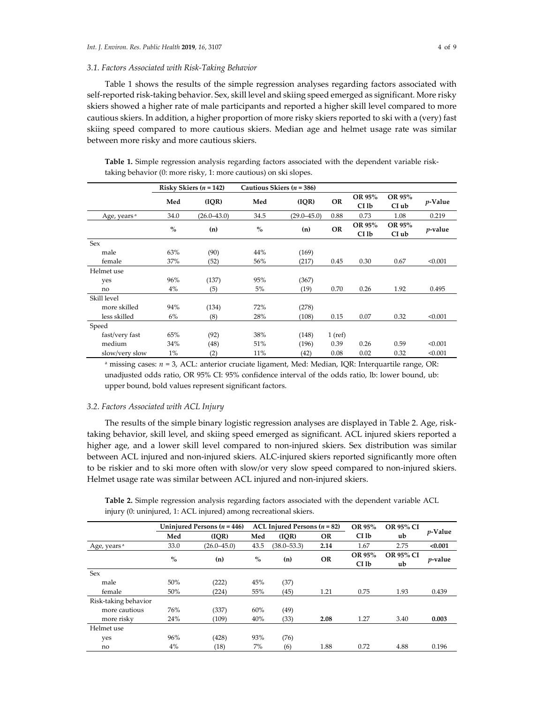## *3.1. Factors Associated with Risk-Taking Behavior*

Table 1 shows the results of the simple regression analyses regarding factors associated with self-reported risk-taking behavior. Sex, skill level and skiing speed emerged as significant. More risky skiers showed a higher rate of male participants and reported a higher skill level compared to more cautious skiers. In addition, a higher proportion of more risky skiers reported to ski with a (very) fast skiing speed compared to more cautious skiers. Median age and helmet usage rate was similar between more risky and more cautious skiers.

|                |               | Risky Skiers $(n = 142)$ | Cautious Skiers $(n = 386)$ |                 |           |                |                   |                 |
|----------------|---------------|--------------------------|-----------------------------|-----------------|-----------|----------------|-------------------|-----------------|
|                | Med           | (IOR)                    | Med                         | (IOR)           | <b>OR</b> | OR 95%<br>CI1b | OR 95%<br>$CI$ ub | $p$ -Value      |
| Age, years a   | 34.0          | $(26.0 - 43.0)$          | 34.5                        | $(29.0 - 45.0)$ | 0.88      | 0.73           | 1.08              | 0.219           |
|                | $\frac{0}{0}$ | (n)                      | $\frac{0}{0}$               | (n)             | OR        | OR 95%<br>CI1b | OR 95%<br>$CI$ ub | <i>p</i> -value |
| Sex            |               |                          |                             |                 |           |                |                   |                 |
| male           | 63%           | (90)                     | 44%                         | (169)           |           |                |                   |                 |
| female         | 37%           | (52)                     | 56%                         | (217)           | 0.45      | 0.30           | 0.67              | < 0.001         |
| Helmet use     |               |                          |                             |                 |           |                |                   |                 |
| yes            | 96%           | (137)                    | 95%                         | (367)           |           |                |                   |                 |
| no             | 4%            | (5)                      | 5%                          | (19)            | 0.70      | 0.26           | 1.92              | 0.495           |
| Skill level    |               |                          |                             |                 |           |                |                   |                 |
| more skilled   | 94%           | (134)                    | 72%                         | (278)           |           |                |                   |                 |
| less skilled   | 6%            | (8)                      | 28%                         | (108)           | 0.15      | 0.07           | 0.32              | < 0.001         |
| Speed          |               |                          |                             |                 |           |                |                   |                 |
| fast/very fast | 65%           | (92)                     | 38%                         | (148)           | $1$ (ref) |                |                   |                 |
| medium         | 34%           | (48)                     | 51%                         | (196)           | 0.39      | 0.26           | 0.59              | < 0.001         |
| slow/very slow | $1\%$         | (2)                      | 11%                         | (42)            | 0.08      | 0.02           | 0.32              | < 0.001         |

**Table 1.** Simple regression analysis regarding factors associated with the dependent variable risktaking behavior (0: more risky, 1: more cautious) on ski slopes.

a missing cases: *n* = 3, ACL: anterior cruciate ligament, Med: Median, IQR: Interquartile range, OR: unadjusted odds ratio, OR 95% CI: 95% confidence interval of the odds ratio, lb: lower bound, ub: upper bound, bold values represent significant factors.

### *3.2. Factors Associated with ACL Injury*

The results of the simple binary logistic regression analyses are displayed in Table 2. Age, risktaking behavior, skill level, and skiing speed emerged as significant. ACL injured skiers reported a higher age, and a lower skill level compared to non-injured skiers. Sex distribution was similar between ACL injured and non-injured skiers. ALC-injured skiers reported significantly more often to be riskier and to ski more often with slow/or very slow speed compared to non-injured skiers. Helmet usage rate was similar between ACL injured and non-injured skiers.

**Table 2.** Simple regression analysis regarding factors associated with the dependent variable ACL injury (0: uninjured, 1: ACL injured) among recreational skiers.

|                         | Uninjured Persons $(n = 446)$ |                 | ACL Injured Persons $(n = 82)$ |                 |           | OR 95% | <b>OR 95% CI</b> |                 |
|-------------------------|-------------------------------|-----------------|--------------------------------|-----------------|-----------|--------|------------------|-----------------|
|                         | Med                           | (IOR)           | Med                            | (IOR)           | <b>OR</b> | CI1b   | ub               | $p$ -Value      |
| Age, years <sup>a</sup> | 33.0                          | $(26.0 - 45.0)$ | 43.5                           | $(38.0 - 53.3)$ | 2.14      | 1.67   | 2.75             | < 0.001         |
|                         | $\%$                          | (n)             | $\%$                           | (n)             | OR        | OR 95% | <b>OR 95% CI</b> | <i>p</i> -value |
|                         |                               |                 |                                |                 |           | CI1b   | ub               |                 |
| Sex                     |                               |                 |                                |                 |           |        |                  |                 |
| male                    | 50%                           | (222)           | 45%                            | (37)            |           |        |                  |                 |
| female                  | 50%                           | (224)           | 55%                            | (45)            | 1.21      | 0.75   | 1.93             | 0.439           |
| Risk-taking behavior    |                               |                 |                                |                 |           |        |                  |                 |
| more cautious           | 76%                           | (337)           | 60%                            | (49)            |           |        |                  |                 |
| more risky              | 24%                           | (109)           | 40%                            | (33)            | 2.08      | 1.27   | 3.40             | 0.003           |
| Helmet use              |                               |                 |                                |                 |           |        |                  |                 |
| yes                     | 96%                           | (428)           | 93%                            | (76)            |           |        |                  |                 |
| no                      | 4%                            | (18)            | 7%                             | (6)             | 1.88      | 0.72   | 4.88             | 0.196           |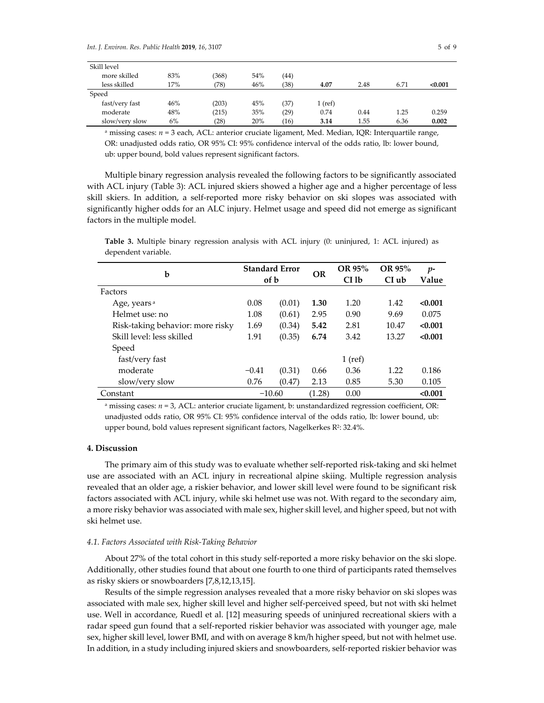| Skill level    |     |       |     |      |           |      |      |         |
|----------------|-----|-------|-----|------|-----------|------|------|---------|
| more skilled   | 83% | (368) | 54% | (44) |           |      |      |         |
| less skilled   | 17% | (78)  | 46% | (38) | 4.07      | 2.48 | 6.71 | < 0.001 |
| Speed          |     |       |     |      |           |      |      |         |
| fast/very fast | 46% | (203) | 45% | (37) | $1$ (ref) |      |      |         |
| moderate       | 48% | (215) | 35% | (29) | 0.74      | 0.44 | 1.25 | 0.259   |
| slow/very slow | 6%  | (28)  | 20% | (16) | 3.14      | 1.55 | 6.36 | 0.002   |

a missing cases: *n* = 3 each, ACL: anterior cruciate ligament, Med. Median, IQR: Interquartile range, OR: unadjusted odds ratio, OR 95% CI: 95% confidence interval of the odds ratio, lb: lower bound, ub: upper bound, bold values represent significant factors.

Multiple binary regression analysis revealed the following factors to be significantly associated with ACL injury (Table 3): ACL injured skiers showed a higher age and a higher percentage of less skill skiers. In addition, a self-reported more risky behavior on ski slopes was associated with significantly higher odds for an ALC injury. Helmet usage and speed did not emerge as significant factors in the multiple model.

**Table 3.** Multiple binary regression analysis with ACL injury (0: uninjured, 1: ACL injured) as dependent variable.

| b                                | <b>Standard Error</b><br>of b |        | OR     | OR 95%    | OR 95% | $p-$    |
|----------------------------------|-------------------------------|--------|--------|-----------|--------|---------|
|                                  |                               |        |        | CI1b      | CI ub  | Value   |
| Factors                          |                               |        |        |           |        |         |
| Age, years <sup>a</sup>          | 0.08                          | (0.01) | 1.30   | 1.20      | 1.42   | < 0.001 |
| Helmet use: no                   | 1.08                          | (0.61) | 2.95   | 0.90      | 9.69   | 0.075   |
| Risk-taking behavior: more risky | 1.69                          | (0.34) | 5.42   | 2.81      | 10.47  | < 0.001 |
| Skill level: less skilled        | 1.91                          | (0.35) | 6.74   | 3.42      | 13.27  | < 0.001 |
| Speed                            |                               |        |        |           |        |         |
| fast/very fast                   |                               |        |        | $1$ (ref) |        |         |
| moderate                         | $-0.41$                       | (0.31) | 0.66   | 0.36      | 1.22   | 0.186   |
| slow/very slow                   | 0.76                          | (0.47) | 2.13   | 0.85      | 5.30   | 0.105   |
| Constant                         | $-10.60$                      |        | (1.28) | 0.00      |        | < 0.001 |

 $\alpha$  missing cases:  $n = 3$ , ACL: anterior cruciate ligament, b: unstandardized regression coefficient, OR: unadjusted odds ratio, OR 95% CI: 95% confidence interval of the odds ratio, lb: lower bound, ub: upper bound, bold values represent significant factors, Nagelkerkes R<sup>2</sup>: 32.4%.

## **4. Discussion**

The primary aim of this study was to evaluate whether self-reported risk-taking and ski helmet use are associated with an ACL injury in recreational alpine skiing. Multiple regression analysis revealed that an older age, a riskier behavior, and lower skill level were found to be significant risk factors associated with ACL injury, while ski helmet use was not. With regard to the secondary aim, a more risky behavior was associated with male sex, higher skill level, and higher speed, but not with ski helmet use.

#### *4.1. Factors Associated with Risk-Taking Behavior*

About 27% of the total cohort in this study self-reported a more risky behavior on the ski slope. Additionally, other studies found that about one fourth to one third of participants rated themselves as risky skiers or snowboarders [7,8,12,13,15].

Results of the simple regression analyses revealed that a more risky behavior on ski slopes was associated with male sex, higher skill level and higher self-perceived speed, but not with ski helmet use. Well in accordance, Ruedl et al. [12] measuring speeds of uninjured recreational skiers with a radar speed gun found that a self-reported riskier behavior was associated with younger age, male sex, higher skill level, lower BMI, and with on average 8 km/h higher speed, but not with helmet use. In addition, in a study including injured skiers and snowboarders, self-reported riskier behavior was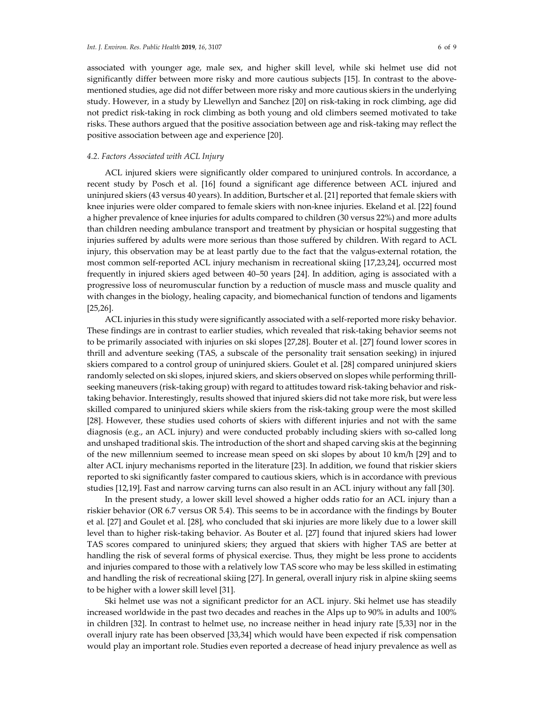associated with younger age, male sex, and higher skill level, while ski helmet use did not significantly differ between more risky and more cautious subjects [15]. In contrast to the abovementioned studies, age did not differ between more risky and more cautious skiers in the underlying study. However, in a study by Llewellyn and Sanchez [20] on risk-taking in rock climbing, age did not predict risk-taking in rock climbing as both young and old climbers seemed motivated to take risks. These authors argued that the positive association between age and risk-taking may reflect the positive association between age and experience [20].

## *4.2. Factors Associated with ACL Injury*

ACL injured skiers were significantly older compared to uninjured controls. In accordance, a recent study by Posch et al. [16] found a significant age difference between ACL injured and uninjured skiers (43 versus 40 years). In addition, Burtscher et al. [21] reported that female skiers with knee injuries were older compared to female skiers with non-knee injuries. Ekeland et al. [22] found a higher prevalence of knee injuries for adults compared to children (30 versus 22%) and more adults than children needing ambulance transport and treatment by physician or hospital suggesting that injuries suffered by adults were more serious than those suffered by children. With regard to ACL injury, this observation may be at least partly due to the fact that the valgus-external rotation, the most common self-reported ACL injury mechanism in recreational skiing [17,23,24], occurred most frequently in injured skiers aged between 40–50 years [24]. In addition, aging is associated with a progressive loss of neuromuscular function by a reduction of muscle mass and muscle quality and with changes in the biology, healing capacity, and biomechanical function of tendons and ligaments [25,26].

ACL injuries in this study were significantly associated with a self-reported more risky behavior. These findings are in contrast to earlier studies, which revealed that risk-taking behavior seems not to be primarily associated with injuries on ski slopes [27,28]. Bouter et al. [27] found lower scores in thrill and adventure seeking (TAS, a subscale of the personality trait sensation seeking) in injured skiers compared to a control group of uninjured skiers. Goulet et al. [28] compared uninjured skiers randomly selected on ski slopes, injured skiers, and skiers observed on slopes while performing thrillseeking maneuvers (risk-taking group) with regard to attitudes toward risk-taking behavior and risktaking behavior. Interestingly, results showed that injured skiers did not take more risk, but were less skilled compared to uninjured skiers while skiers from the risk-taking group were the most skilled [28]. However, these studies used cohorts of skiers with different injuries and not with the same diagnosis (e.g., an ACL injury) and were conducted probably including skiers with so-called long and unshaped traditional skis. The introduction of the short and shaped carving skis at the beginning of the new millennium seemed to increase mean speed on ski slopes by about 10 km/h [29] and to alter ACL injury mechanisms reported in the literature [23]. In addition, we found that riskier skiers reported to ski significantly faster compared to cautious skiers, which is in accordance with previous studies [12,19]. Fast and narrow carving turns can also result in an ACL injury without any fall [30].

In the present study, a lower skill level showed a higher odds ratio for an ACL injury than a riskier behavior (OR 6.7 versus OR 5.4). This seems to be in accordance with the findings by Bouter et al. [27] and Goulet et al. [28], who concluded that ski injuries are more likely due to a lower skill level than to higher risk-taking behavior. As Bouter et al. [27] found that injured skiers had lower TAS scores compared to uninjured skiers; they argued that skiers with higher TAS are better at handling the risk of several forms of physical exercise. Thus, they might be less prone to accidents and injuries compared to those with a relatively low TAS score who may be less skilled in estimating and handling the risk of recreational skiing [27]. In general, overall injury risk in alpine skiing seems to be higher with a lower skill level [31].

Ski helmet use was not a significant predictor for an ACL injury. Ski helmet use has steadily increased worldwide in the past two decades and reaches in the Alps up to 90% in adults and 100% in children [32]. In contrast to helmet use, no increase neither in head injury rate [5,33] nor in the overall injury rate has been observed [33,34] which would have been expected if risk compensation would play an important role. Studies even reported a decrease of head injury prevalence as well as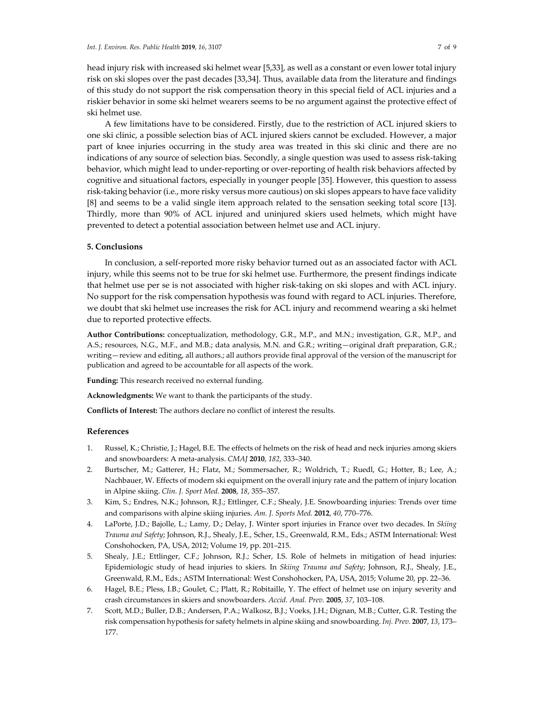head injury risk with increased ski helmet wear [5,33], as well as a constant or even lower total injury risk on ski slopes over the past decades [33,34]. Thus, available data from the literature and findings of this study do not support the risk compensation theory in this special field of ACL injuries and a riskier behavior in some ski helmet wearers seems to be no argument against the protective effect of ski helmet use.

A few limitations have to be considered. Firstly, due to the restriction of ACL injured skiers to one ski clinic, a possible selection bias of ACL injured skiers cannot be excluded. However, a major part of knee injuries occurring in the study area was treated in this ski clinic and there are no indications of any source of selection bias. Secondly, a single question was used to assess risk-taking behavior, which might lead to under-reporting or over-reporting of health risk behaviors affected by cognitive and situational factors, especially in younger people [35]. However, this question to assess risk-taking behavior (i.e., more risky versus more cautious) on ski slopes appears to have face validity [8] and seems to be a valid single item approach related to the sensation seeking total score [13]. Thirdly, more than 90% of ACL injured and uninjured skiers used helmets, which might have prevented to detect a potential association between helmet use and ACL injury.

## **5. Conclusions**

In conclusion, a self-reported more risky behavior turned out as an associated factor with ACL injury, while this seems not to be true for ski helmet use. Furthermore, the present findings indicate that helmet use per se is not associated with higher risk-taking on ski slopes and with ACL injury. No support for the risk compensation hypothesis was found with regard to ACL injuries. Therefore, we doubt that ski helmet use increases the risk for ACL injury and recommend wearing a ski helmet due to reported protective effects.

**Author Contributions:** conceptualization, methodology, G.R., M.P., and M.N.; investigation, G.R., M.P., and A.S.; resources, N.G., M.F., and M.B.; data analysis, M.N. and G.R.; writing—original draft preparation, G.R.; writing—review and editing, all authors.; all authors provide final approval of the version of the manuscript for publication and agreed to be accountable for all aspects of the work.

**Funding:** This research received no external funding.

**Acknowledgments:** We want to thank the participants of the study.

**Conflicts of Interest:** The authors declare no conflict of interest the results.

## **References**

- 1. Russel, K.; Christie, J.; Hagel, B.E. The effects of helmets on the risk of head and neck injuries among skiers and snowboarders: A meta-analysis. *CMAJ* **2010**, *182*, 333–340.
- 2. Burtscher, M.; Gatterer, H.; Flatz, M.; Sommersacher, R.; Woldrich, T.; Ruedl, G.; Hotter, B.; Lee, A.; Nachbauer, W. Effects of modern ski equipment on the overall injury rate and the pattern of injury location in Alpine skiing. *Clin. J. Sport Med.* **2008**, *18*, 355–357.
- 3. Kim, S.; Endres, N.K.; Johnson, R.J.; Ettlinger, C.F.; Shealy, J.E. Snowboarding injuries: Trends over time and comparisons with alpine skiing injuries. *Am. J. Sports Med.* **2012**, *40*, 770–776.
- 4. LaPorte, J.D.; Bajolle, L.; Lamy, D.; Delay, J. Winter sport injuries in France over two decades. In *Skiing Trauma and Safety*; Johnson, R.J., Shealy, J.E., Scher, I.S., Greenwald, R.M., Eds.; ASTM International: West Conshohocken, PA, USA, 2012; Volume 19, pp. 201–215.
- 5. Shealy, J.E.; Ettlinger, C.F.; Johnson, R.J.; Scher, I.S. Role of helmets in mitigation of head injuries: Epidemiologic study of head injuries to skiers. In *Skiing Trauma and Safety*; Johnson, R.J., Shealy, J.E., Greenwald, R.M., Eds.; ASTM International: West Conshohocken, PA, USA, 2015; Volume 20, pp. 22–36.
- 6. Hagel, B.E.; Pless, I.B.; Goulet, C.; Platt, R.; Robitaille, Y. The effect of helmet use on injury severity and crash circumstances in skiers and snowboarders. *Accid. Anal. Prev.* **2005**, *37*, 103–108.
- 7. Scott, M.D.; Buller, D.B.; Andersen, P.A.; Walkosz, B.J.; Voeks, J.H.; Dignan, M.B.; Cutter, G.R. Testing the risk compensation hypothesis for safety helmets in alpine skiing and snowboarding. *Inj. Prev.* **2007**, *13*, 173– 177.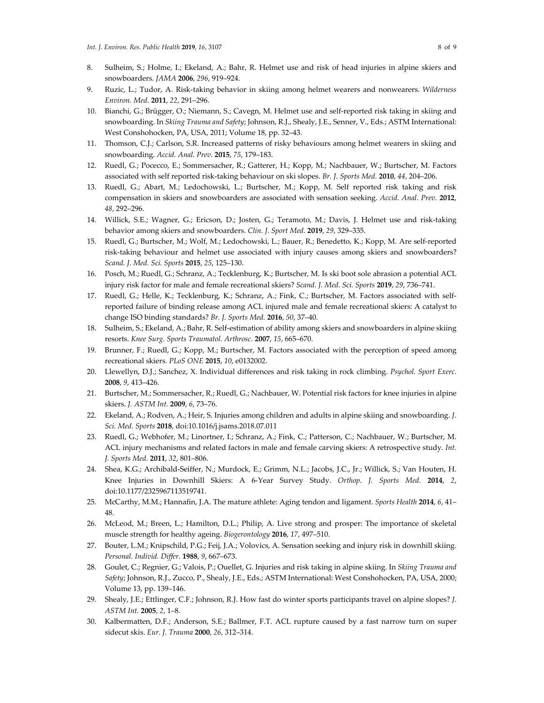- 8. Sulheim, S.; Holme, I.; Ekeland, A.; Bahr, R. Helmet use and risk of head injuries in alpine skiers and snowboarders. *JAMA* **2006**, *296*, 919–924.
- 9. Ruzic, L.; Tudor, A. Risk-taking behavior in skiing among helmet wearers and nonwearers. *Wilderness Environ. Med.* **2011**, *22*, 291–296.
- 10. Bianchi, G.; Brügger, O.; Niemann, S.; Cavegn, M. Helmet use and self-reported risk taking in skiing and snowboarding. In *Skiing Trauma and Safety*; Johnson, R.J., Shealy, J.E., Senner, V., Eds.; ASTM International: West Conshohocken, PA, USA, 2011; Volume 18, pp. 32–43.
- 11. Thomson, C.J.; Carlson, S.R. Increased patterns of risky behaviours among helmet wearers in skiing and snowboarding. *Accid. Anal. Prev.* **2015**, *75*, 179–183.
- 12. Ruedl, G.; Pocecco, E.; Sommersacher, R.; Gatterer, H.; Kopp, M.; Nachbauer, W.; Burtscher, M. Factors associated with self reported risk-taking behaviour on ski slopes. *Br. J. Sports Med.* **2010**, *44*, 204–206.
- 13. Ruedl, G.; Abart, M.; Ledochowski, L.; Burtscher, M.; Kopp, M. Self reported risk taking and risk compensation in skiers and snowboarders are associated with sensation seeking. *Accid. Anal. Prev.* **2012**, *48*, 292–296.
- 14. Willick, S.E.; Wagner, G.; Ericson, D.; Josten, G.; Teramoto, M.; Davis, J. Helmet use and risk-taking behavior among skiers and snowboarders. *Clin. J. Sport Med.* **2019**, *29*, 329–335.
- 15. Ruedl, G.; Burtscher, M.; Wolf, M.; Ledochowski, L.; Bauer, R.; Benedetto, K.; Kopp, M. Are self-reported risk-taking behaviour and helmet use associated with injury causes among skiers and snowboarders? *Scand. J. Med. Sci. Sports* **2015**, *25*, 125–130.
- 16. Posch, M.; Ruedl, G.; Schranz, A.; Tecklenburg, K.; Burtscher, M. Is ski boot sole abrasion a potential ACL injury risk factor for male and female recreational skiers? *Scand. J. Med. Sci. Sports* **2019**, *29*, 736–741.
- 17. Ruedl, G.; Helle, K.; Tecklenburg, K.; Schranz, A.; Fink, C.; Burtscher, M. Factors associated with selfreported failure of binding release among ACL injured male and female recreational skiers: A catalyst to change ISO binding standards? *Br. J. Sports Med.* **2016**, *50*, 37–40.
- 18. Sulheim, S.; Ekeland, A.; Bahr, R. Self-estimation of ability among skiers and snowboarders in alpine skiing resorts. *Knee Surg. Sports Traumatol. Arthrosc.* **2007**, *15*, 665–670.
- 19. Brunner, F.; Ruedl, G.; Kopp, M.; Burtscher, M. Factors associated with the perception of speed among recreational skiers. *PLoS ONE* **2015**, *10*, e0132002.
- 20. Llewellyn, D.J.; Sanchez, X. Individual differences and risk taking in rock climbing. *Psychol. Sport Exerc.* **2008**, *9*, 413–426.
- 21. Burtscher, M.; Sommersacher, R.; Ruedl, G.; Nachbauer, W. Potential risk factors for knee injuries in alpine skiers. *J. ASTM Int.* **2009**, *6*, 73–76.
- 22. Ekeland, A.; Rodven, A.; Heir, S. Injuries among children and adults in alpine skiing and snowboarding. *J. Sci. Med. Sports* **2018**, doi:10.1016/j.jsams.2018.07.011
- 23. Ruedl, G.; Webhofer, M.; Linortner, I.; Schranz, A.; Fink, C.; Patterson, C.; Nachbauer, W.; Burtscher, M. ACL injury mechanisms and related factors in male and female carving skiers: A retrospective study. *Int. J. Sports Med.* **2011**, *32*, 801–806.
- 24. Shea, K.G.; Archibald-Seiffer, N.; Murdock, E.; Grimm, N.L.; Jacobs, J.C., Jr.; Willick, S.; Van Houten, H. Knee Injuries in Downhill Skiers: A 6-Year Survey Study. *Orthop. J. Sports Med.* **2014**, *2*, doi:10.1177/2325967113519741.
- 25. McCarthy, M.M.; Hannafin, J.A. The mature athlete: Aging tendon and ligament. *Sports Health* **2014**, *6*, 41– 48.
- 26. McLeod, M.; Breen, L.; Hamilton, D.L.; Philip, A. Live strong and prosper: The importance of skeletal muscle strength for healthy ageing. *Biogerontology* **2016**, *17*, 497–510.
- 27. Bouter, L.M.; Knipschild, P.G.; Feij, J.A.; Volovics, A. Sensation seeking and injury risk in downhill skiing. *Personal. Individ. Differ.* **1988**, *9*, 667–673.
- 28. Goulet, C.; Regnier, G.; Valois, P.; Ouellet, G. Injuries and risk taking in alpine skiing. In *Skiing Trauma and Safety*; Johnson, R.J., Zucco, P., Shealy, J.E., Eds.; ASTM International: West Conshohocken, PA, USA, 2000; Volume 13, pp. 139–146.
- 29. Shealy, J.E.; Ettlinger, C.F.; Johnson, R.J. How fast do winter sports participants travel on alpine slopes? *J. ASTM Int.* **2005**, *2*, 1–8.
- 30. Kalbermatten, D.F.; Anderson, S.E.; Ballmer, F.T. ACL rupture caused by a fast narrow turn on super sidecut skis. *Eur. J. Trauma* **2000**, *26*, 312–314.